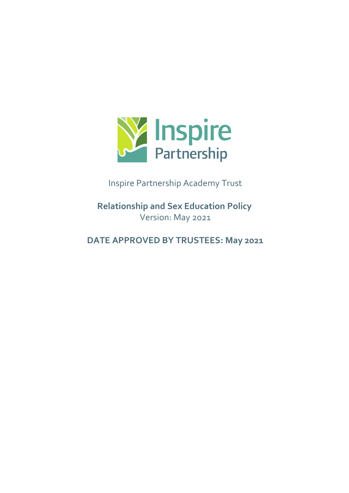

Inspire Partnership Academy Trust

**Relationship and Sex Education Policy** Version: May 2021

**DATE APPROVED BY TRUSTEES: May 2021**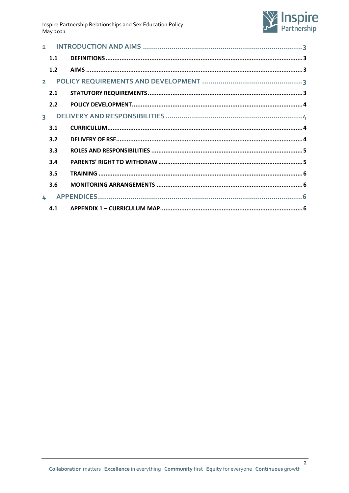Inspire Partnership Relationships and Sex Education Policy May 2021



|                | 1.1 |  |  |
|----------------|-----|--|--|
|                | 1.2 |  |  |
| $\overline{2}$ |     |  |  |
|                | 2.1 |  |  |
|                | 2.2 |  |  |
| $\overline{3}$ |     |  |  |
|                | 3.1 |  |  |
|                | 3.2 |  |  |
|                | 3.3 |  |  |
|                | 3.4 |  |  |
|                | 3.5 |  |  |
|                | 3.6 |  |  |
| $\mathbf{L}$   |     |  |  |
|                | 4.1 |  |  |

 $\overline{2}$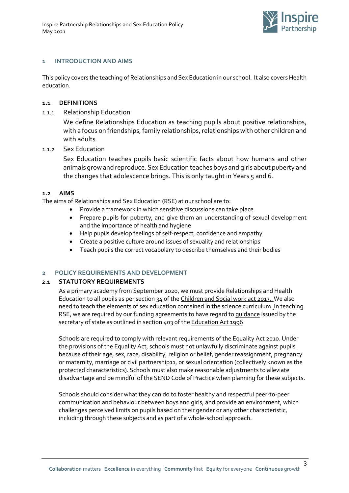

# <span id="page-2-0"></span>**1 INTRODUCTION AND AIMS**

This policy covers the teaching of Relationships and Sex Education in our school. It also covers Health education.

### <span id="page-2-1"></span>**1.1 DEFINITIONS**

1.1.1 Relationship Education

We define Relationships Education as teaching pupils about positive relationships, with a focus on friendships, family relationships, relationships with other children and with adults.

1.1.2 Sex Education

Sex Education teaches pupils basic scientific facts about how humans and other animals grow and reproduce. Sex Education teaches boys and girls about puberty and the changes that adolescence brings. This is only taught in Years 5 and 6.

#### <span id="page-2-2"></span>**1.2 AIMS**

The aims of Relationships and Sex Education (RSE) at our school are to:

- Provide a framework in which sensitive discussions can take place
- Prepare pupils for puberty, and give them an understanding of sexual development and the importance of health and hygiene
- Help pupils develop feelings of self-respect, confidence and empathy
- Create a positive culture around issues of sexuality and relationships
- Teach pupils the correct vocabulary to describe themselves and their bodies

# <span id="page-2-3"></span>**2 POLICY REQUIREMENTS AND DEVELOPMENT**

#### <span id="page-2-4"></span>**2.1 STATUTORY REQUIREMENTS**

As a primary academy from September 2020, we must provide Relationships and Health Education to all pupils as per section 34 of the [Children and Social work act 2017.](http://www.legislation.gov.uk/ukpga/2017/16/section/34/enacted) We also need to teach the elements of sex education contained in the science curriculum. In teaching RSE, we are required by our funding agreements to have regard t[o guidance](https://www.gov.uk/government/consultations/relationships-and-sex-education-and-health-education) issued by the s[e](http://www.legislation.gov.uk/ukpga/1996/56/contents)cretary of state as outlined in section 403 of the [Education Act 1996.](http://www.legislation.gov.uk/ukpga/1996/56/contents)

Schools are required to comply with relevant requirements of the Equality Act 2010. Under the provisions of the Equality Act, schools must not unlawfully discriminate against pupils because of their age, sex, race, disability, religion or belief, gender reassignment, pregnancy or maternity, marriage or civil partnership11, or sexual orientation (collectively known as the protected characteristics). Schools must also make reasonable adjustments to alleviate disadvantage and be mindful of the SEND Code of Practice when planning for these subjects.

Schools should consider what they can do to foster healthy and respectful peer-to-peer communication and behaviour between boys and girls, and provide an environment, which challenges perceived limits on pupils based on their gender or any other characteristic, including through these subjects and as part of a whole-school approach.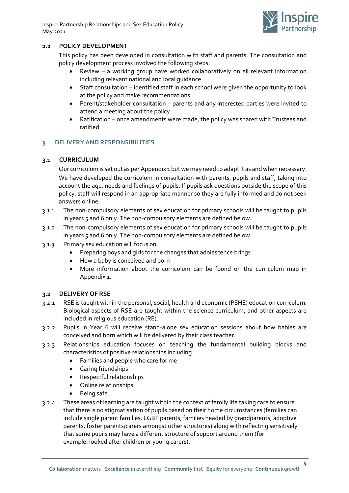Inspire Partnership Relationships and Sex Education Policy May 2021



# <span id="page-3-0"></span>**2.2 POLICY DEVELOPMENT**

This policy has been developed in consultation with staff and parents. The consultation and policy development process involved the following steps:

- Review a working group have worked collaboratively on all relevant information including relevant national and local guidance
- Staff consultation identified staff in each school were given the opportunity to look at the policy and make recommendations
- Parent/stakeholder consultation parents and any interested parties were invited to attend a meeting about the policy
- Ratification once amendments were made, the policy was shared with Trustees and ratified

## <span id="page-3-1"></span>**3 DELIVERY AND RESPONSIBILITIES**

## <span id="page-3-2"></span>**3.1 CURRICULUM**

Our curriculum is set out as per Appendix 1 but we may need to adapt it as and when necessary. We have developed the curriculum in consultation with parents, pupils and staff, taking into account the age, needs and feelings of pupils. If pupils ask questions outside the scope of this policy, staff will respond in an appropriate manner so they are fully informed and do not seek answers online.

- 3.1.1 The non-compulsory elements of sex education for primary schools will be taught to pupils in years 5 and 6 only. The non-compulsory elements are defined below.
- 3.1.2 The non-compulsory elements of sex education for primary schools will be taught to pupils in years 5 and 6 only. The non-compulsory elements are defined below.
- 3.1.3 Primary sex education will focus on:
	- Preparing boys and girls for the changes that adolescence brings
	- How a baby is conceived and born
	- More information about the curriculum can be found on the curriculum map in Appendix 1.

#### <span id="page-3-3"></span>**3.2 DELIVERY OF RSE**

- 3.2.1 RSE is taught within the personal, social, health and economic (PSHE) education curriculum. Biological aspects of RSE are taught within the science curriculum, and other aspects are included in religious education (RE).
- 3.2.2 Pupils in Year 6 will receive stand-alone sex education sessions about how babies are conceived and born which will be delivered by their class teacher.
- 3.2.3 Relationships education focuses on teaching the fundamental building blocks and characteristics of positive relationships including:
	- Families and people who care for me
	- Caring friendships
	- Respectful relationships
	- Online relationships
	- Being safe
- 3.2.4 These areas of learning are taught within the context of family life taking care to ensure that there is no stigmatisation of pupils based on their home circumstances (families can include single parent families, LGBT parents, families headed by grandparents, adoptive parents, foster parents/carers amongst other structures) along with reflecting sensitively that some pupils may have a different structure of support around them (for example: looked after children or young carers).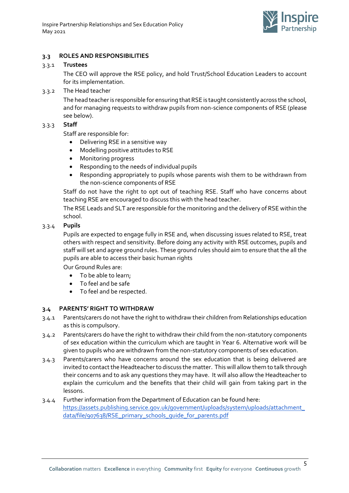

# <span id="page-4-0"></span>**3.3 ROLES AND RESPONSIBILITIES**

## 3.3.1 **Trustees**

The CEO will approve the RSE policy, and hold Trust/School Education Leaders to account for its implementation.

# 3.3.2 The Head teacher

The head teacher is responsible for ensuring that RSE is taught consistently across the school, and for managing requests to withdraw pupils from non-science components of RSE (please see below).

# 3.3.3 **Staff**

Staff are responsible for:

- Delivering RSE in a sensitive way
- Modelling positive attitudes to RSE
- Monitoring progress
- Responding to the needs of individual pupils
- Responding appropriately to pupils whose parents wish them to be withdrawn from the non-science components of RSE

Staff do not have the right to opt out of teaching RSE. Staff who have concerns about teaching RSE are encouraged to discuss this with the head teacher.

The RSE Leads and SLT are responsible for the monitoring and the delivery of RSE within the school.

# 3.3.4 **Pupils**

Pupils are expected to engage fully in RSE and, when discussing issues related to RSE, treat others with respect and sensitivity. Before doing any activity with RSE outcomes, pupils and staff will set and agree ground rules. These ground rules should aim to ensure that the all the pupils are able to access their basic human rights

Our Ground Rules are:

- To be able to learn;
- To feel and be safe
- To feel and be respected.

# <span id="page-4-1"></span>**3.4 PARENTS' RIGHT TO WITHDRAW**

- 3.4.1 Parents/carers do not have the right to withdraw their children from Relationships education as this is compulsory.
- 3.4.2 Parents/carers do have the right to withdraw their child from the non-statutory components of sex education within the curriculum which are taught in Year 6. Alternative work will be given to pupils who are withdrawn from the non-statutory components of sex education.
- 3.4.3 Parents/carers who have concerns around the sex education that is being delivered are invited to contact the Headteacher to discuss the matter. This will allow them to talk through their concerns and to ask any questions they may have. It will also allow the Headteacher to explain the curriculum and the benefits that their child will gain from taking part in the lessons.
- 3.4.4 Further information from the Department of Education can be found here: [https://assets.publishing.service.gov.uk/government/uploads/system/uploads/attachment\\_](https://assets.publishing.service.gov.uk/government/uploads/system/uploads/attachment_data/file/907638/RSE_primary_schools_guide_for_parents.pdf) [data/file/907638/RSE\\_primary\\_schools\\_guide\\_for\\_parents.pdf](https://assets.publishing.service.gov.uk/government/uploads/system/uploads/attachment_data/file/907638/RSE_primary_schools_guide_for_parents.pdf)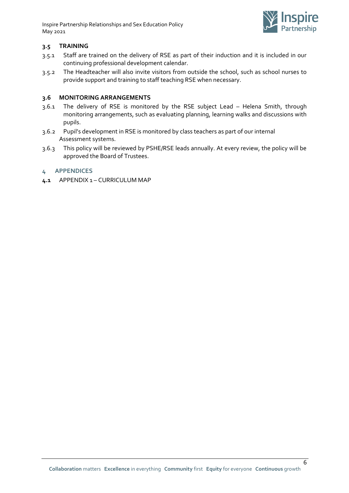Inspire Partnership Relationships and Sex Education Policy May 2021



# <span id="page-5-0"></span>**3.5 TRAINING**

- 3.5.1 Staff are trained on the delivery of RSE as part of their induction and it is included in our continuing professional development calendar.
- 3.5.2 The Headteacher will also invite visitors from outside the school, such as school nurses to provide support and training to staff teaching RSE when necessary.

# <span id="page-5-1"></span>**3.6 MONITORING ARRANGEMENTS**

- 3.6.1 The delivery of RSE is monitored by the RSE subject Lead Helena Smith, through monitoring arrangements, such as evaluating planning, learning walks and discussions with pupils.
- 3.6.2 Pupil's development in RSE is monitored by class teachers as part of our internal Assessment systems.
- 3.6.3 This policy will be reviewed by PSHE/RSE leads annually. At every review, the policy will be approved the Board of Trustees.

# <span id="page-5-2"></span>**4 APPENDICES**

<span id="page-5-3"></span>**4.1** APPENDIX 1 – CURRICULUM MAP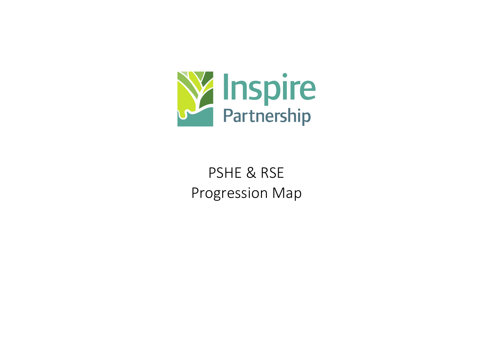

# PSHE & RSE Progression Map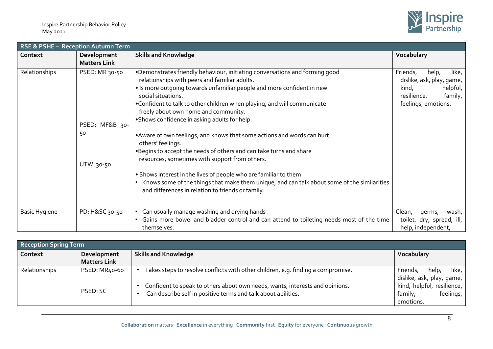

|                      | RSE & PSHE - Reception Autumn Term                   |                                                                                                                                                                                                                                                                                                                                                                                                                                                                                                                                                                                                                                                                                                                                                                                                                                                    |                                                                                                                                 |  |  |
|----------------------|------------------------------------------------------|----------------------------------------------------------------------------------------------------------------------------------------------------------------------------------------------------------------------------------------------------------------------------------------------------------------------------------------------------------------------------------------------------------------------------------------------------------------------------------------------------------------------------------------------------------------------------------------------------------------------------------------------------------------------------------------------------------------------------------------------------------------------------------------------------------------------------------------------------|---------------------------------------------------------------------------------------------------------------------------------|--|--|
| Context              | Development<br><b>Matters Link</b>                   | <b>Skills and Knowledge</b>                                                                                                                                                                                                                                                                                                                                                                                                                                                                                                                                                                                                                                                                                                                                                                                                                        | Vocabulary                                                                                                                      |  |  |
| Relationships        | PSED: MR 30-50<br>PSED: MF&B 30-<br>50<br>UTW: 30-50 | . Demonstrates friendly behaviour, initiating conversations and forming good<br>relationships with peers and familiar adults.<br>• Is more outgoing towards unfamiliar people and more confident in new<br>social situations.<br>. Confident to talk to other children when playing, and will communicate<br>freely about own home and community.<br>.Shows confidence in asking adults for help.<br>• Aware of own feelings, and knows that some actions and words can hurt<br>others' feelings.<br>. Begins to accept the needs of others and can take turns and share<br>resources, sometimes with support from others.<br>• Shows interest in the lives of people who are familiar to them<br>Knows some of the things that make them unique, and can talk about some of the similarities<br>and differences in relation to friends or family. | like,<br>Friends,<br>help,<br>dislike, ask, play, game,  <br>helpful,<br>kind,<br>family,<br>resilience,<br>feelings, emotions. |  |  |
| <b>Basic Hygiene</b> | PD: H&SC 30-50                                       | Can usually manage washing and drying hands<br>• Gains more bowel and bladder control and can attend to toileting needs most of the time<br>themselves.                                                                                                                                                                                                                                                                                                                                                                                                                                                                                                                                                                                                                                                                                            | Clean,<br>wash,  <br>germs,<br>toilet, dry, spread, ill,<br>help, independent,                                                  |  |  |

| Reception Spring Term |                     |                                                                                                                                               |                                                                   |  |
|-----------------------|---------------------|-----------------------------------------------------------------------------------------------------------------------------------------------|-------------------------------------------------------------------|--|
| Context               | Development         | <b>Skills and Knowledge</b>                                                                                                                   | Vocabulary                                                        |  |
|                       | <b>Matters Link</b> |                                                                                                                                               |                                                                   |  |
| <b>Relationships</b>  | PSED: MR40-60       | Takes steps to resolve conflicts with other children, e.g. finding a compromise.                                                              | like, $\vert$<br>Friends,<br>help,<br>dislike, ask, play, game,   |  |
|                       | PSED: SC            | Confident to speak to others about own needs, wants, interests and opinions.<br>Can describe self in positive terms and talk about abilities. | kind, helpful, resilience,  <br>feelings,<br>family,<br>emotions. |  |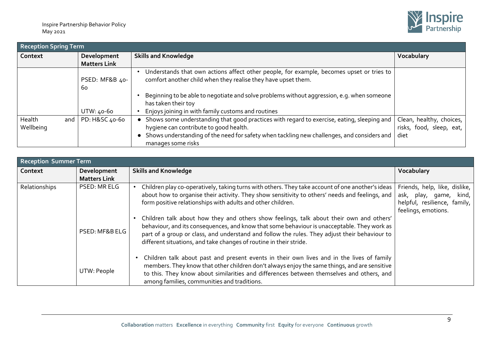

| <b>Reception Spring Term</b> |                      |                                                                                                                                                                         |                                  |  |
|------------------------------|----------------------|-------------------------------------------------------------------------------------------------------------------------------------------------------------------------|----------------------------------|--|
| Context                      | Development          | <b>Skills and Knowledge</b>                                                                                                                                             | Vocabulary                       |  |
|                              | <b>Matters Link</b>  |                                                                                                                                                                         |                                  |  |
|                              | PSED: MF&B 40-<br>60 | Understands that own actions affect other people, for example, becomes upset or tries to<br>comfort another child when they realise they have upset them.               |                                  |  |
|                              | UTW: 40-60           | Beginning to be able to negotiate and solve problems without aggression, e.g. when someone<br>has taken their toy<br>Enjoys joining in with family customs and routines |                                  |  |
| Health<br>and                | PD: H&SC 40-60       | Shows some understanding that good practices with regard to exercise, eating, sleeping and                                                                              | Clean, healthy, choices,         |  |
| Wellbeing                    |                      | hygiene can contribute to good health.<br>Shows understanding of the need for safety when tackling new challenges, and considers and  <br>manages some risks            | risks, food, sleep, eat,<br>diet |  |

| <b>Reception Summer Term</b> |                                    |                                                                                                                                                                                                                                                                                                                                                               |                                                                                                                   |  |
|------------------------------|------------------------------------|---------------------------------------------------------------------------------------------------------------------------------------------------------------------------------------------------------------------------------------------------------------------------------------------------------------------------------------------------------------|-------------------------------------------------------------------------------------------------------------------|--|
| Context                      | Development<br><b>Matters Link</b> | <b>Skills and Knowledge</b>                                                                                                                                                                                                                                                                                                                                   | Vocabulary                                                                                                        |  |
| Relationships                | PSED: MR ELG                       | Children play co-operatively, taking turns with others. They take account of one another's ideas<br>about how to organise their activity. They show sensitivity to others' needs and feelings, and<br>form positive relationships with adults and other children.                                                                                             | Friends, help, like, dislike,<br>ask, play, game,<br>kind,<br>helpful, resilience, family,<br>feelings, emotions. |  |
|                              | PSED: MF&B ELG                     | Children talk about how they and others show feelings, talk about their own and others'<br>behaviour, and its consequences, and know that some behaviour is unacceptable. They work as<br>part of a group or class, and understand and follow the rules. They adjust their behaviour to<br>different situations, and take changes of routine in their stride. |                                                                                                                   |  |
|                              | UTW: People                        | Children talk about past and present events in their own lives and in the lives of family<br>members. They know that other children don't always enjoy the same things, and are sensitive<br>to this. They know about similarities and differences between themselves and others, and<br>among families, communities and traditions.                          |                                                                                                                   |  |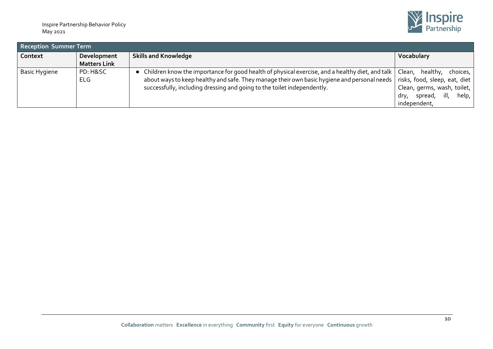

| <b>Reception Summer Term</b> |                                    |                                                                                                                                                                                                                                                                             |                                                                                                                                              |  |  |
|------------------------------|------------------------------------|-----------------------------------------------------------------------------------------------------------------------------------------------------------------------------------------------------------------------------------------------------------------------------|----------------------------------------------------------------------------------------------------------------------------------------------|--|--|
| Context                      | Development<br><b>Matters Link</b> | <b>Skills and Knowledge</b>                                                                                                                                                                                                                                                 | Vocabulary                                                                                                                                   |  |  |
| Basic Hygiene                | PD: H&SC<br><b>ELG</b>             | Children know the importance for good health of physical exercise, and a healthy diet, and talk<br>about ways to keep healthy and safe. They manage their own basic hygiene and personal needs  <br>successfully, including dressing and going to the toilet independently. | Clean, healthy, choices,<br>risks, food, sleep, eat, diet<br>Clean, germs, wash, toilet,<br>ill,<br>help,<br>spread,<br>dry,<br>independent, |  |  |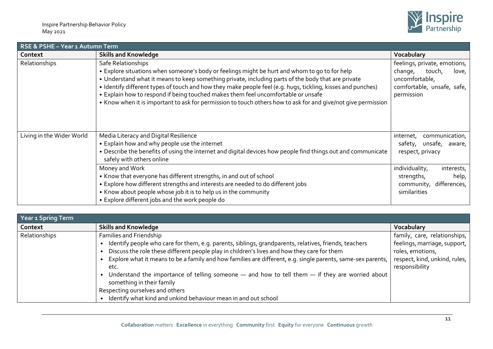

| RSE & PSHE - Year 1 Autumn Term |                                                                                                                                                                                                                                                                                                                                                                                                                                                                                                                                                |                                                                                                                          |  |  |
|---------------------------------|------------------------------------------------------------------------------------------------------------------------------------------------------------------------------------------------------------------------------------------------------------------------------------------------------------------------------------------------------------------------------------------------------------------------------------------------------------------------------------------------------------------------------------------------|--------------------------------------------------------------------------------------------------------------------------|--|--|
| Context                         | <b>Skills and Knowledge</b>                                                                                                                                                                                                                                                                                                                                                                                                                                                                                                                    | Vocabulary                                                                                                               |  |  |
| Relationships                   | Safe Relationships<br>• Explore situations when someone's body or feelings might be hurt and whom to go to for help<br>• Understand what it means to keep something private, including parts of the body that are private<br>• Identify different types of touch and how they make people feel (e.g. hugs, tickling, kisses and punches)<br>• Explain how to respond if being touched makes them feel uncomfortable or unsafe<br>• Know when it is important to ask for permission to touch others how to ask for and give/not give permission | feelings, private, emotions,<br>change,<br>touch,<br>love,<br>uncomfortable,<br>comfortable, unsafe, safe,<br>permission |  |  |
| Living in the Wider World       | Media Literacy and Digital Resilience<br>• Explain how and why people use the internet<br>• Describe the benefits of using the internet and digital devices how people find things out and communicate<br>safely with others online                                                                                                                                                                                                                                                                                                            | internet, communication,<br>safety, unsafe, aware,<br>respect, privacy                                                   |  |  |
|                                 | Money and Work<br>• Know that everyone has different strengths, in and out of school<br>• Explore how different strengths and interests are needed to do different jobs<br>• Know about people whose job it is to help us in the community<br>• Explore different jobs and the work people do                                                                                                                                                                                                                                                  | individuality,<br>interests,<br>strengths,<br>help,<br>community, differences,<br>similarities                           |  |  |

| <b>Year 1 Spring Term</b> |                                                                                                                                                                                                                                                                                                                                                                                                                                                                                                                                                                                                 |                                                                                                                                     |  |  |  |
|---------------------------|-------------------------------------------------------------------------------------------------------------------------------------------------------------------------------------------------------------------------------------------------------------------------------------------------------------------------------------------------------------------------------------------------------------------------------------------------------------------------------------------------------------------------------------------------------------------------------------------------|-------------------------------------------------------------------------------------------------------------------------------------|--|--|--|
| Context                   | <b>Skills and Knowledge</b>                                                                                                                                                                                                                                                                                                                                                                                                                                                                                                                                                                     | Vocabulary                                                                                                                          |  |  |  |
| Relationships             | Families and Friendship<br>Identify people who care for them, e.g. parents, siblings, grandparents, relatives, friends, teachers<br>Discuss the role these different people play in children's lives and how they care for them<br>Explore what it means to be a family and how families are different, e.g. single parents, same-sex parents,<br>etc.<br>Understand the importance of telling someone $-$ and how to tell them $-$ if they are worried about<br>something in their family<br>Respecting ourselves and others<br>Identify what kind and unkind behaviour mean in and out school | family, care, relationships,<br>feelings, marriage, support,<br>roles, emotions,<br>respect, kind, unkind, rules,<br>responsibility |  |  |  |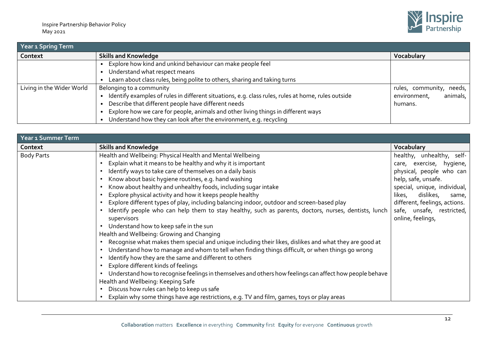

| Year 1 Spring Term        |                                                                                                    |                          |  |  |
|---------------------------|----------------------------------------------------------------------------------------------------|--------------------------|--|--|
| Context                   | <b>Skills and Knowledge</b>                                                                        | Vocabulary               |  |  |
|                           | Explore how kind and unkind behaviour can make people feel                                         |                          |  |  |
|                           | Understand what respect means                                                                      |                          |  |  |
|                           | Learn about class rules, being polite to others, sharing and taking turns                          |                          |  |  |
| Living in the Wider World | Belonging to a community                                                                           | rules, community, needs, |  |  |
|                           | Identify examples of rules in different situations, e.g. class rules, rules at home, rules outside | animals,<br>environment, |  |  |
|                           | Describe that different people have different needs                                                | humans.                  |  |  |
|                           | Explore how we care for people, animals and other living things in different ways                  |                          |  |  |
|                           | Understand how they can look after the environment, e.g. recycling                                 |                          |  |  |

| Year 1 Summer Term |                                                                                                           |                               |  |  |
|--------------------|-----------------------------------------------------------------------------------------------------------|-------------------------------|--|--|
| Context            | <b>Skills and Knowledge</b>                                                                               | Vocabulary                    |  |  |
| <b>Body Parts</b>  | Health and Wellbeing: Physical Health and Mental Wellbeing                                                | healthy, unhealthy, self-     |  |  |
|                    | • Explain what it means to be healthy and why it is important                                             | care, exercise, hygiene,      |  |  |
|                    | Identify ways to take care of themselves on a daily basis                                                 | physical, people who can      |  |  |
|                    | Know about basic hygiene routines, e.g. hand washing                                                      | help, safe, unsafe.           |  |  |
|                    | Know about healthy and unhealthy foods, including sugar intake                                            | special, unique, individual,  |  |  |
|                    | Explore physical activity and how it keeps people healthy                                                 | dislikes,<br>likes,<br>same,  |  |  |
|                    | • Explore different types of play, including balancing indoor, outdoor and screen-based play              | different, feelings, actions. |  |  |
|                    | Identify people who can help them to stay healthy, such as parents, doctors, nurses, dentists, lunch      | safe, unsafe, restricted,     |  |  |
|                    | supervisors                                                                                               | online, feelings,             |  |  |
|                    | • Understand how to keep safe in the sun                                                                  |                               |  |  |
|                    | Health and Wellbeing: Growing and Changing                                                                |                               |  |  |
|                    | • Recognise what makes them special and unique including their likes, dislikes and what they are good at  |                               |  |  |
|                    | Understand how to manage and whom to tell when finding things difficult, or when things go wrong          |                               |  |  |
|                    | Identify how they are the same and different to others                                                    |                               |  |  |
|                    | Explore different kinds of feelings                                                                       |                               |  |  |
|                    | • Understand how to recognise feelings in themselves and others how feelings can affect how people behave |                               |  |  |
|                    | Health and Wellbeing: Keeping Safe                                                                        |                               |  |  |
|                    | • Discuss how rules can help to keep us safe                                                              |                               |  |  |
|                    | Explain why some things have age restrictions, e.g. TV and film, games, toys or play areas                |                               |  |  |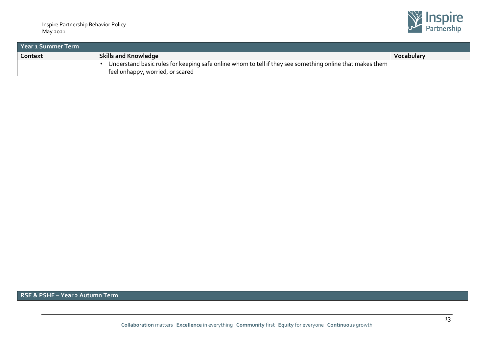

| Year 1 Summer Term |                                                                                                          |            |  |  |
|--------------------|----------------------------------------------------------------------------------------------------------|------------|--|--|
| Context            | <b>Skills and Knowledge</b>                                                                              | Vocabulary |  |  |
|                    | Understand basic rules for keeping safe online whom to tell if they see something online that makes them |            |  |  |
|                    | feel unhappy, worried, or scared                                                                         |            |  |  |

**RSE & PSHE – Year 2 Autumn Term**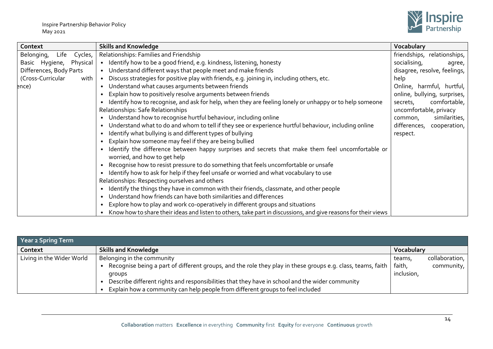

| Context                       | <b>Skills and Knowledge</b>                                                                                    | Vocabulary                   |
|-------------------------------|----------------------------------------------------------------------------------------------------------------|------------------------------|
| Belonging,<br>Life<br>Cycles, | Relationships: Families and Friendship                                                                         | friendships, relationships,  |
| Basic Hygiene, Physical       | • Identify how to be a good friend, e.g. kindness, listening, honesty                                          | socialising,<br>agree,       |
| Differences, Body Parts       | • Understand different ways that people meet and make friends                                                  | disagree, resolve, feelings, |
| (Cross-Curricular<br>with     | • Discuss strategies for positive play with friends, e.g. joining in, including others, etc.                   | help                         |
| ence)                         | Understand what causes arguments between friends<br>$\bullet$                                                  | Online, harmful, hurtful,    |
|                               | Explain how to positively resolve arguments between friends                                                    | online, bullying, surprises, |
|                               | Identify how to recognise, and ask for help, when they are feeling lonely or unhappy or to help someone        | comfortable,<br>secrets,     |
|                               | Relationships: Safe Relationships                                                                              | uncomfortable, privacy       |
|                               | Understand how to recognise hurtful behaviour, including online                                                | similarities,<br>common,     |
|                               | Understand what to do and whom to tell if they see or experience hurtful behaviour, including online           | differences, cooperation,    |
|                               | Identify what bullying is and different types of bullying                                                      | respect.                     |
|                               | Explain how someone may feel if they are being bullied                                                         |                              |
|                               | Identify the difference between happy surprises and secrets that make them feel uncomfortable or               |                              |
|                               | worried, and how to get help                                                                                   |                              |
|                               | Recognise how to resist pressure to do something that feels uncomfortable or unsafe                            |                              |
|                               | Identify how to ask for help if they feel unsafe or worried and what vocabulary to use                         |                              |
|                               | Relationships: Respecting ourselves and others                                                                 |                              |
|                               | Identify the things they have in common with their friends, classmate, and other people                        |                              |
|                               | Understand how friends can have both similarities and differences                                              |                              |
|                               | Explore how to play and work co-operatively in different groups and situations                                 |                              |
|                               | Know how to share their ideas and listen to others, take part in discussions, and give reasons for their views |                              |

| Year 2 Spring Term        |                                                                                                               |            |                |  |
|---------------------------|---------------------------------------------------------------------------------------------------------------|------------|----------------|--|
| Context                   | <b>Skills and Knowledge</b>                                                                                   | Vocabulary |                |  |
| Living in the Wider World | Belonging in the community                                                                                    | teams,     | collaboration, |  |
|                           | • Recognise being a part of different groups, and the role they play in these groups e.g. class, teams, faith | faith,     | community,     |  |
|                           | groups                                                                                                        | inclusion, |                |  |
|                           | Describe different rights and responsibilities that they have in school and the wider community               |            |                |  |
|                           | Explain how a community can help people from different groups to feel included                                |            |                |  |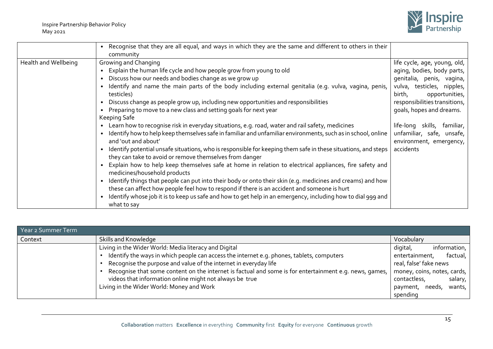

|                      | Recognise that they are all equal, and ways in which they are the same and different to others in their<br>$\bullet$<br>community                                                                                                                                                                                                                                                                                                                                                                                                                                                                                                                                                                                                                                                                                                                                                                                                                                                                                                                                                                                                                                                                                                                                                                                                                                            |                                                                                                                                                                                                                                                                                                                       |
|----------------------|------------------------------------------------------------------------------------------------------------------------------------------------------------------------------------------------------------------------------------------------------------------------------------------------------------------------------------------------------------------------------------------------------------------------------------------------------------------------------------------------------------------------------------------------------------------------------------------------------------------------------------------------------------------------------------------------------------------------------------------------------------------------------------------------------------------------------------------------------------------------------------------------------------------------------------------------------------------------------------------------------------------------------------------------------------------------------------------------------------------------------------------------------------------------------------------------------------------------------------------------------------------------------------------------------------------------------------------------------------------------------|-----------------------------------------------------------------------------------------------------------------------------------------------------------------------------------------------------------------------------------------------------------------------------------------------------------------------|
| Health and Wellbeing | Growing and Changing<br>Explain the human life cycle and how people grow from young to old<br>Discuss how our needs and bodies change as we grow up<br>Identify and name the main parts of the body including external genitalia (e.g. vulva, vagina, penis,<br>testicles)<br>Discuss change as people grow up, including new opportunities and responsibilities<br>Preparing to move to a new class and setting goals for next year<br>Keeping Safe<br>Learn how to recognise risk in everyday situations, e.g. road, water and rail safety, medicines<br>$\bullet$<br>Identify how to help keep themselves safe in familiar and unfamiliar environments, such as in school, online<br>and 'out and about'<br>Identify potential unsafe situations, who is responsible for keeping them safe in these situations, and steps<br>they can take to avoid or remove themselves from danger<br>Explain how to help keep themselves safe at home in relation to electrical appliances, fire safety and<br>medicines/household products<br>Identify things that people can put into their body or onto their skin (e.g. medicines and creams) and how<br>these can affect how people feel how to respond if there is an accident and someone is hurt<br>Identify whose job it is to keep us safe and how to get help in an emergency, including how to dial 999 and<br>what to say | life cycle, age, young, old,<br>aging, bodies, body parts,<br>genitalia, penis, vagina,<br>vulva, testicles, nipples,<br>opportunities,<br>birth,<br>responsibilities transitions,<br>goals, hopes and dreams.<br>life-long<br>skills, familiar,<br>unfamiliar, safe, unsafe,<br>environment, emergency,<br>accidents |

| Year 2 Summer Term |                                                                                                        |                              |  |
|--------------------|--------------------------------------------------------------------------------------------------------|------------------------------|--|
| Context            | Skills and Knowledge                                                                                   | Vocabulary                   |  |
|                    | Living in the Wider World: Media literacy and Digital                                                  | information, I<br>digital,   |  |
|                    | Identify the ways in which people can access the internet e.g. phones, tablets, computers              | factual,  <br>entertainment, |  |
|                    | Recognise the purpose and value of the internet in everyday life                                       | real, false' fake news       |  |
|                    | Recognise that some content on the internet is factual and some is for entertainment e.g. news, games, | money, coins, notes, cards,  |  |
|                    | videos that information online might not always be true                                                | contactless,<br>salary,      |  |
|                    | Living in the Wider World: Money and Work                                                              | wants,<br>needs,<br>payment, |  |
|                    |                                                                                                        | spending                     |  |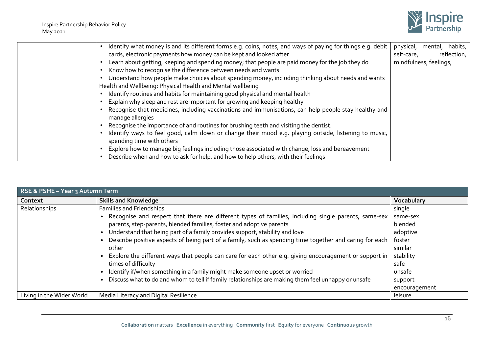

| Identify what money is and its different forms e.g. coins, notes, and ways of paying for things e.g. debit | physical, mental, habits, |             |
|------------------------------------------------------------------------------------------------------------|---------------------------|-------------|
| cards, electronic payments how money can be kept and looked after                                          | self-care,                | reflection, |
| Learn about getting, keeping and spending money; that people are paid money for the job they do            | mindfulness, feelings,    |             |
| Know how to recognise the difference between needs and wants                                               |                           |             |
| Understand how people make choices about spending money, including thinking about needs and wants          |                           |             |
| Health and Wellbeing: Physical Health and Mental wellbeing                                                 |                           |             |
| Identify routines and habits for maintaining good physical and mental health                               |                           |             |
| Explain why sleep and rest are important for growing and keeping healthy                                   |                           |             |
| Recognise that medicines, including vaccinations and immunisations, can help people stay healthy and       |                           |             |
| manage allergies                                                                                           |                           |             |
| Recognise the importance of and routines for brushing teeth and visiting the dentist.                      |                           |             |
| Identify ways to feel good, calm down or change their mood e.g. playing outside, listening to music,       |                           |             |
| spending time with others                                                                                  |                           |             |
| Explore how to manage big feelings including those associated with change, loss and bereavement            |                           |             |
| Describe when and how to ask for help, and how to help others, with their feelings                         |                           |             |

| <b>RSE &amp; PSHE - Year 3 Autumn Term</b> |                                                                                                           |               |  |
|--------------------------------------------|-----------------------------------------------------------------------------------------------------------|---------------|--|
| Context                                    | <b>Skills and Knowledge</b>                                                                               | Vocabulary    |  |
| Relationships                              | Families and Friendships                                                                                  | single        |  |
|                                            | . Recognise and respect that there are different types of families, including single parents, same-sex    | same-sex      |  |
|                                            | parents, step-parents, blended families, foster and adoptive parents                                      | blended       |  |
|                                            | • Understand that being part of a family provides support, stability and love                             | adoptive      |  |
|                                            | • Describe positive aspects of being part of a family, such as spending time together and caring for each | foster        |  |
|                                            | other                                                                                                     | similar       |  |
|                                            | • Explore the different ways that people can care for each other e.g. giving encouragement or support in  | stability     |  |
|                                            | times of difficulty                                                                                       | safe          |  |
|                                            | • Identify if/when something in a family might make someone upset or worried                              | unsafe        |  |
|                                            | • Discuss what to do and whom to tell if family relationships are making them feel unhappy or unsafe      | support       |  |
|                                            |                                                                                                           | encouragement |  |
| Living in the Wider World                  | Media Literacy and Digital Resilience                                                                     | leisure       |  |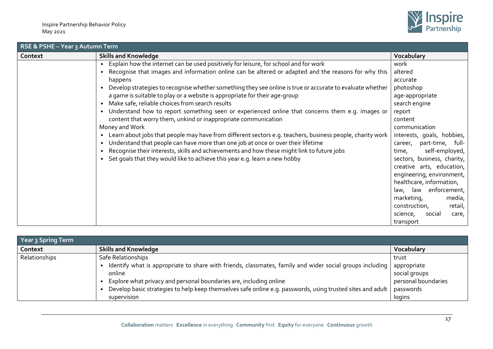

| RSE & PSHE - Year 3 Autumn Term |                                                                                                             |                             |  |
|---------------------------------|-------------------------------------------------------------------------------------------------------------|-----------------------------|--|
| Context                         | <b>Skills and Knowledge</b>                                                                                 | Vocabulary                  |  |
|                                 | • Explain how the internet can be used positively for leisure, for school and for work                      | work                        |  |
|                                 | Recognise that images and information online can be altered or adapted and the reasons for why this         | altered                     |  |
|                                 | happens                                                                                                     | accurate                    |  |
|                                 | • Develop strategies to recognise whether something they see online is true or accurate to evaluate whether | photoshop                   |  |
|                                 | a game is suitable to play or a website is appropriate for their age-group                                  | age-appropriate             |  |
|                                 | • Make safe, reliable choices from search results                                                           | search engine               |  |
|                                 | • Understand how to report something seen or experienced online that concerns them e.g. images or           | report                      |  |
|                                 | content that worry them, unkind or inappropriate communication                                              | content                     |  |
|                                 | Money and Work                                                                                              | communication               |  |
|                                 | • Learn about jobs that people may have from different sectors e.g. teachers, business people, charity work | interests, goals, hobbies,  |  |
|                                 | Understand that people can have more than one job at once or over their lifetime                            | career, part-time, full-    |  |
|                                 | Recognise their interests, skills and achievements and how these might link to future jobs                  | self-employed,<br>time,     |  |
|                                 | • Set goals that they would like to achieve this year e.g. learn a new hobby                                | sectors, business, charity, |  |
|                                 |                                                                                                             | creative arts, education,   |  |
|                                 |                                                                                                             | engineering, environment,   |  |
|                                 |                                                                                                             | healthcare, information,    |  |
|                                 |                                                                                                             | law, law enforcement,       |  |
|                                 |                                                                                                             | marketing,<br>media,        |  |
|                                 |                                                                                                             | construction,<br>retail,    |  |
|                                 |                                                                                                             | science,<br>social<br>care, |  |
|                                 |                                                                                                             | transport                   |  |

| Year 3 Spring Term |                                                                                                            |                     |  |
|--------------------|------------------------------------------------------------------------------------------------------------|---------------------|--|
| Context            | <b>Skills and Knowledge</b>                                                                                | Vocabulary          |  |
| Relationships      | Safe Relationships                                                                                         | trust               |  |
|                    | ldentify what is appropriate to share with friends, classmates, family and wider social groups including   | appropriate         |  |
|                    | online                                                                                                     | social groups       |  |
|                    | Explore what privacy and personal boundaries are, including online                                         | personal boundaries |  |
|                    | Develop basic strategies to help keep themselves safe online e.g. passwords, using trusted sites and adult | passwords           |  |
|                    | supervision                                                                                                | logins              |  |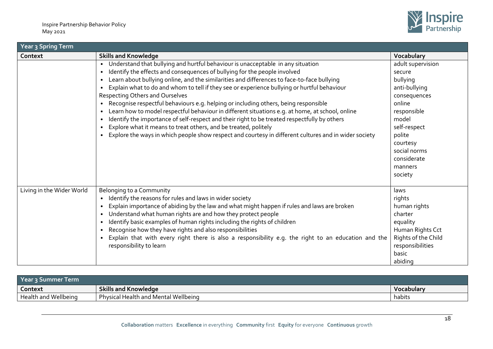

| Year 3 Spring Term        |                                                                                                                                                                                                                                                                                                                                                                                                                                                                                                                                                                                                                                                                                                                                                                                                                                                                                              |                                                                                                                                                                                                       |  |
|---------------------------|----------------------------------------------------------------------------------------------------------------------------------------------------------------------------------------------------------------------------------------------------------------------------------------------------------------------------------------------------------------------------------------------------------------------------------------------------------------------------------------------------------------------------------------------------------------------------------------------------------------------------------------------------------------------------------------------------------------------------------------------------------------------------------------------------------------------------------------------------------------------------------------------|-------------------------------------------------------------------------------------------------------------------------------------------------------------------------------------------------------|--|
| Context                   | <b>Skills and Knowledge</b>                                                                                                                                                                                                                                                                                                                                                                                                                                                                                                                                                                                                                                                                                                                                                                                                                                                                  | Vocabulary                                                                                                                                                                                            |  |
|                           | Understand that bullying and hurtful behaviour is unacceptable in any situation<br>Identify the effects and consequences of bullying for the people involved<br>$\bullet$<br>Learn about bullying online, and the similarities and differences to face-to-face bullying<br>Explain what to do and whom to tell if they see or experience bullying or hurtful behaviour<br>Respecting Others and Ourselves<br>Recognise respectful behaviours e.g. helping or including others, being responsible<br>$\bullet$<br>Learn how to model respectful behaviour in different situations e.g. at home, at school, online<br>Identify the importance of self-respect and their right to be treated respectfully by others<br>Explore what it means to treat others, and be treated, politely<br>Explore the ways in which people show respect and courtesy in different cultures and in wider society | adult supervision<br>secure<br>bullying<br>anti-bullying<br>consequences<br>online<br>responsible<br>model<br>self-respect<br>polite<br>courtesy<br>social norms<br>considerate<br>manners<br>society |  |
| Living in the Wider World | Belonging to a Community<br>Identify the reasons for rules and laws in wider society<br>$\bullet$<br>Explain importance of abiding by the law and what might happen if rules and laws are broken<br>Understand what human rights are and how they protect people<br>$\bullet$<br>Identify basic examples of human rights including the rights of children<br>Recognise how they have rights and also responsibilities<br>Explain that with every right there is also a responsibility e.g. the right to an education and the<br>responsibility to learn                                                                                                                                                                                                                                                                                                                                      | laws<br>rights<br>human rights<br>charter<br>equality<br>Human Rights Cct<br>Rights of the Child<br>responsibilities<br>basic<br>abiding                                                              |  |

| Year 3 Summer Term   |                                            |                   |  |
|----------------------|--------------------------------------------|-------------------|--|
| Context              | <b>Skills and Knowledge</b>                | <b>Vocabulary</b> |  |
| Health and Wellbeing | al Health and Mental Wellbeing<br>Physical | habits            |  |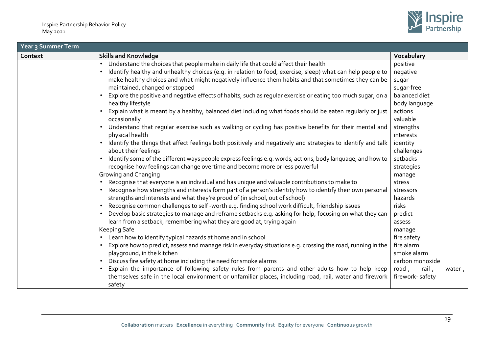

| <b>Year 3 Summer Term</b> |                                                                                                                           |                             |  |
|---------------------------|---------------------------------------------------------------------------------------------------------------------------|-----------------------------|--|
| Context                   | <b>Skills and Knowledge</b>                                                                                               | Vocabulary                  |  |
|                           | Understand the choices that people make in daily life that could affect their health                                      | positive                    |  |
|                           | Identify healthy and unhealthy choices (e.g. in relation to food, exercise, sleep) what can help people to<br>$\bullet$   | negative                    |  |
|                           | make healthy choices and what might negatively influence them habits and that sometimes they can be                       | sugar                       |  |
|                           | maintained, changed or stopped                                                                                            | sugar-free                  |  |
|                           | Explore the positive and negative effects of habits, such as regular exercise or eating too much sugar, on a<br>$\bullet$ | balanced diet               |  |
|                           | healthy lifestyle                                                                                                         | body language               |  |
|                           | Explain what is meant by a healthy, balanced diet including what foods should be eaten regularly or just                  | actions                     |  |
|                           | occasionally                                                                                                              | valuable                    |  |
|                           | Understand that regular exercise such as walking or cycling has positive benefits for their mental and                    | strengths                   |  |
|                           | physical health                                                                                                           | interests                   |  |
|                           | Identify the things that affect feelings both positively and negatively and strategies to identify and talk<br>$\bullet$  | identity                    |  |
|                           | about their feelings                                                                                                      | challenges                  |  |
|                           | Identify some of the different ways people express feelings e.g. words, actions, body language, and how to                | setbacks                    |  |
|                           | recognise how feelings can change overtime and become more or less powerful                                               | strategies                  |  |
|                           | Growing and Changing                                                                                                      | manage                      |  |
|                           | Recognise that everyone is an individual and has unique and valuable contributions to make to                             | stress                      |  |
|                           | Recognise how strengths and interests form part of a person's identity how to identify their own personal                 | stressors                   |  |
|                           | strengths and interests and what they're proud of (in school, out of school)                                              | hazards                     |  |
|                           | Recognise common challenges to self -worth e.g. finding school work difficult, friendship issues                          | risks                       |  |
|                           | Develop basic strategies to manage and reframe setbacks e.g. asking for help, focusing on what they can                   | predict                     |  |
|                           | learn from a setback, remembering what they are good at, trying again                                                     | assess                      |  |
|                           | Keeping Safe                                                                                                              | manage                      |  |
|                           | Learn how to identify typical hazards at home and in school                                                               | fire safety                 |  |
|                           | Explore how to predict, assess and manage risk in everyday situations e.g. crossing the road, running in the              | fire alarm                  |  |
|                           | playground, in the kitchen                                                                                                | smoke alarm                 |  |
|                           | • Discuss fire safety at home including the need for smoke alarms                                                         | carbon monoxide             |  |
|                           | Explain the importance of following safety rules from parents and other adults how to help keep                           | road-,<br>rail-,<br>water-, |  |
|                           | themselves safe in the local environment or unfamiliar places, including road, rail, water and firework                   | firework-safety             |  |
|                           | safety                                                                                                                    |                             |  |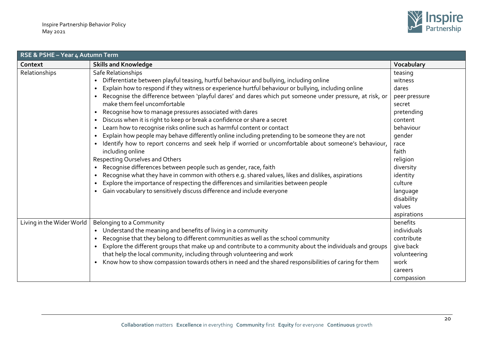

| RSE & PSHE - Year 4 Autumn Term |                                                                                                                       |               |  |
|---------------------------------|-----------------------------------------------------------------------------------------------------------------------|---------------|--|
| Context                         | <b>Skills and Knowledge</b>                                                                                           | Vocabulary    |  |
| Relationships                   | Safe Relationships                                                                                                    | teasing       |  |
|                                 | Differentiate between playful teasing, hurtful behaviour and bullying, including online<br>$\bullet$                  | witness       |  |
|                                 | Explain how to respond if they witness or experience hurtful behaviour or bullying, including online<br>$\bullet$     | dares         |  |
|                                 | Recognise the difference between 'playful dares' and dares which put someone under pressure, at risk, or<br>$\bullet$ | peer pressure |  |
|                                 | make them feel uncomfortable                                                                                          | secret        |  |
|                                 | Recognise how to manage pressures associated with dares<br>$\bullet$                                                  | pretending    |  |
|                                 | Discuss when it is right to keep or break a confidence or share a secret<br>$\bullet$                                 | content       |  |
|                                 | Learn how to recognise risks online such as harmful content or contact<br>$\bullet$                                   | behaviour     |  |
|                                 | Explain how people may behave differently online including pretending to be someone they are not<br>$\bullet$         | qender        |  |
|                                 | Identify how to report concerns and seek help if worried or uncomfortable about someone's behaviour,<br>$\bullet$     | race          |  |
|                                 | including online                                                                                                      | faith         |  |
|                                 | Respecting Ourselves and Others                                                                                       | religion      |  |
|                                 | Recognise differences between people such as gender, race, faith<br>$\bullet$                                         | diversity     |  |
|                                 | Recognise what they have in common with others e.g. shared values, likes and dislikes, aspirations<br>$\bullet$       | identity      |  |
|                                 | Explore the importance of respecting the differences and similarities between people<br>$\bullet$                     | culture       |  |
|                                 | Gain vocabulary to sensitively discuss difference and include everyone<br>$\bullet$                                   | language      |  |
|                                 |                                                                                                                       | disability    |  |
|                                 |                                                                                                                       | values        |  |
|                                 |                                                                                                                       | aspirations   |  |
| Living in the Wider World       | Belonging to a Community                                                                                              | benefits      |  |
|                                 | Understand the meaning and benefits of living in a community<br>$\bullet$                                             | individuals   |  |
|                                 | Recognise that they belong to different communities as well as the school community<br>$\bullet$                      | contribute    |  |
|                                 | Explore the different groups that make up and contribute to a community about the individuals and groups<br>$\bullet$ | give back     |  |
|                                 | that help the local community, including through volunteering and work                                                | volunteering  |  |
|                                 | Know how to show compassion towards others in need and the shared responsibilities of caring for them<br>$\bullet$    | work          |  |
|                                 |                                                                                                                       | careers       |  |
|                                 |                                                                                                                       | compassion    |  |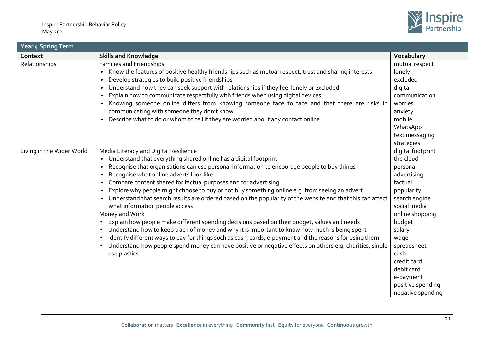

| Year 4 Sp <u>ring Term</u> |                                                                                                                                                                                                                                                                                                                                                                                                                                                                                                                                                                                                                                                                                                                                                                                                                                                                                                                                                                                                                                       |                                                                                                                                                                                                                                                                               |  |
|----------------------------|---------------------------------------------------------------------------------------------------------------------------------------------------------------------------------------------------------------------------------------------------------------------------------------------------------------------------------------------------------------------------------------------------------------------------------------------------------------------------------------------------------------------------------------------------------------------------------------------------------------------------------------------------------------------------------------------------------------------------------------------------------------------------------------------------------------------------------------------------------------------------------------------------------------------------------------------------------------------------------------------------------------------------------------|-------------------------------------------------------------------------------------------------------------------------------------------------------------------------------------------------------------------------------------------------------------------------------|--|
| Context                    | <b>Skills and Knowledge</b>                                                                                                                                                                                                                                                                                                                                                                                                                                                                                                                                                                                                                                                                                                                                                                                                                                                                                                                                                                                                           | Vocabulary                                                                                                                                                                                                                                                                    |  |
| Relationships              | <b>Families and Friendships</b><br>Know the features of positive healthy friendships such as mutual respect, trust and sharing interests<br>Develop strategies to build positive friendships<br>Understand how they can seek support with relationships if they feel lonely or excluded<br>Explain how to communicate respectfully with friends when using digital devices<br>Knowing someone online differs from knowing someone face to face and that there are risks in<br>communicating with someone they don't know<br>Describe what to do or whom to tell if they are worried about any contact online                                                                                                                                                                                                                                                                                                                                                                                                                          | mutual respect<br>lonely<br>excluded<br>digital<br>communication<br>worries<br>anxiety<br>mobile<br>WhatsApp<br>text messaging<br>strategies                                                                                                                                  |  |
| Living in the Wider World  | Media Literacy and Digital Resilience<br>• Understand that everything shared online has a digital footprint<br>Recognise that organisations can use personal information to encourage people to buy things<br>Recognise what online adverts look like<br>Compare content shared for factual purposes and for advertising<br>Explore why people might choose to buy or not buy something online e.g. from seeing an advert<br>• Understand that search results are ordered based on the popularity of the website and that this can affect<br>what information people access<br>Money and Work<br>Explain how people make different spending decisions based on their budget, values and needs<br>Understand how to keep track of money and why it is important to know how much is being spent<br>Identify different ways to pay for things such as cash, cards, e-payment and the reasons for using them<br>Understand how people spend money can have positive or negative effects on others e.g. charities, single<br>use plastics | digital footprint<br>the cloud<br>personal<br>advertising<br>factual<br>popularity<br>search engine<br>social media<br>online shopping<br>budget<br>salary<br>wage<br>spreadsheet<br>cash<br>credit card<br>debit card<br>e-payment<br>positive spending<br>negative spending |  |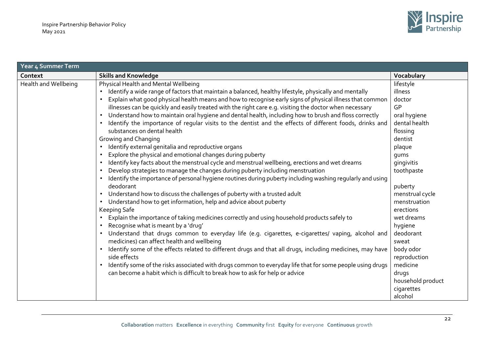| Year 4 Summer Term   |                                                                                                           |                   |  |
|----------------------|-----------------------------------------------------------------------------------------------------------|-------------------|--|
| Context              | <b>Skills and Knowledge</b>                                                                               | Vocabulary        |  |
| Health and Wellbeing | Physical Health and Mental Wellbeing                                                                      | lifestyle         |  |
|                      | Identify a wide range of factors that maintain a balanced, healthy lifestyle, physically and mentally     | illness           |  |
|                      | Explain what good physical health means and how to recognise early signs of physical illness that common  | doctor            |  |
|                      | illnesses can be quickly and easily treated with the right care e.g. visiting the doctor when necessary   | GP                |  |
|                      | Understand how to maintain oral hygiene and dental health, including how to brush and floss correctly     | oral hygiene      |  |
|                      | Identify the importance of regular visits to the dentist and the effects of different foods, drinks and   | dental health     |  |
|                      | substances on dental health                                                                               | flossing          |  |
|                      | Growing and Changing                                                                                      | dentist           |  |
|                      | Identify external genitalia and reproductive organs                                                       | plaque            |  |
|                      | Explore the physical and emotional changes during puberty                                                 | gums              |  |
|                      | Identify key facts about the menstrual cycle and menstrual wellbeing, erections and wet dreams            | gingivitis        |  |
|                      | Develop strategies to manage the changes during puberty including menstruation                            | toothpaste        |  |
|                      | Identify the importance of personal hygiene routines during puberty including washing regularly and using |                   |  |
|                      | deodorant                                                                                                 | puberty           |  |
|                      | Understand how to discuss the challenges of puberty with a trusted adult                                  | menstrual cycle   |  |
|                      | Understand how to get information, help and advice about puberty                                          | menstruation      |  |
|                      | Keeping Safe                                                                                              | erections         |  |
|                      | Explain the importance of taking medicines correctly and using household products safely to               | wet dreams        |  |
|                      | Recognise what is meant by a 'drug'                                                                       | hygiene           |  |
|                      | Understand that drugs common to everyday life (e.g. cigarettes, e-cigarettes/ vaping, alcohol and         | deodorant         |  |
|                      | medicines) can affect health and wellbeing                                                                | sweat             |  |
|                      | Identify some of the effects related to different drugs and that all drugs, including medicines, may have | body odor         |  |
|                      | side effects                                                                                              | reproduction      |  |
|                      | Identify some of the risks associated with drugs common to everyday life that for some people using drugs | medicine          |  |
|                      | can become a habit which is difficult to break how to ask for help or advice                              | drugs             |  |
|                      |                                                                                                           | household product |  |
|                      |                                                                                                           | cigarettes        |  |
|                      |                                                                                                           | alcohol           |  |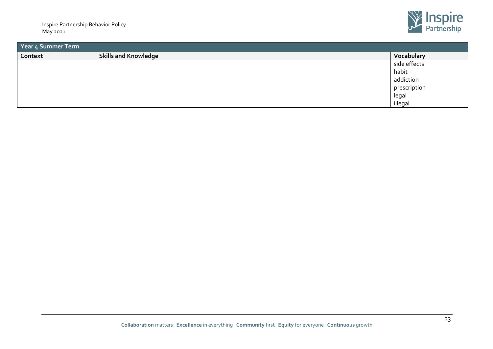

| Year 4 Summer Term |                             |              |  |
|--------------------|-----------------------------|--------------|--|
| Context            | <b>Skills and Knowledge</b> | Vocabulary   |  |
|                    |                             | side effects |  |
|                    |                             | habit        |  |
|                    |                             | addiction    |  |
|                    |                             | prescription |  |
|                    |                             | legal        |  |
|                    |                             | illegal      |  |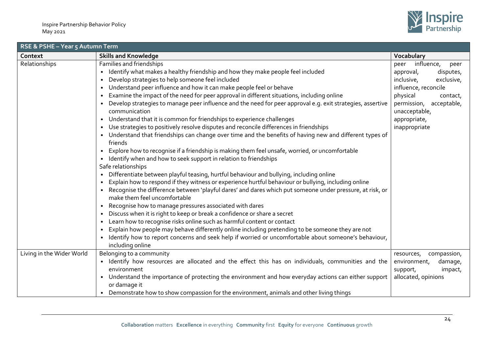

| RSE & PSHE - Year 5 Autumn Term                                                                                                                                                                                                                                                                                                                                                                                                                                                                                                                                                                                                                                                                                                                                                                                                                                                                                                                                                                                                                                                                                                                                                                                                                                                                                                                                                                                                                                                                                                                                                                                                                                                                                                                                                         |                                                                                                                                                                                                               |  |  |
|-----------------------------------------------------------------------------------------------------------------------------------------------------------------------------------------------------------------------------------------------------------------------------------------------------------------------------------------------------------------------------------------------------------------------------------------------------------------------------------------------------------------------------------------------------------------------------------------------------------------------------------------------------------------------------------------------------------------------------------------------------------------------------------------------------------------------------------------------------------------------------------------------------------------------------------------------------------------------------------------------------------------------------------------------------------------------------------------------------------------------------------------------------------------------------------------------------------------------------------------------------------------------------------------------------------------------------------------------------------------------------------------------------------------------------------------------------------------------------------------------------------------------------------------------------------------------------------------------------------------------------------------------------------------------------------------------------------------------------------------------------------------------------------------|---------------------------------------------------------------------------------------------------------------------------------------------------------------------------------------------------------------|--|--|
| <b>Skills and Knowledge</b>                                                                                                                                                                                                                                                                                                                                                                                                                                                                                                                                                                                                                                                                                                                                                                                                                                                                                                                                                                                                                                                                                                                                                                                                                                                                                                                                                                                                                                                                                                                                                                                                                                                                                                                                                             | Vocabulary                                                                                                                                                                                                    |  |  |
| Families and friendships<br>Identify what makes a healthy friendship and how they make people feel included<br>Develop strategies to help someone feel included<br>Understand peer influence and how it can make people feel or behave<br>Examine the impact of the need for peer approval in different situations, including online<br>Develop strategies to manage peer influence and the need for peer approval e.g. exit strategies, assertive<br>communication<br>Understand that it is common for friendships to experience challenges<br>$\bullet$<br>Use strategies to positively resolve disputes and reconcile differences in friendships<br>$\bullet$<br>Understand that friendships can change over time and the benefits of having new and different types of<br>friends<br>Explore how to recognise if a friendship is making them feel unsafe, worried, or uncomfortable<br>$\bullet$<br>Identify when and how to seek support in relation to friendships<br>Safe relationships<br>Differentiate between playful teasing, hurtful behaviour and bullying, including online<br>$\bullet$<br>Explain how to respond if they witness or experience hurtful behaviour or bullying, including online<br>Recognise the difference between 'playful dares' and dares which put someone under pressure, at risk, or<br>make them feel uncomfortable<br>Recognise how to manage pressures associated with dares<br>Discuss when it is right to keep or break a confidence or share a secret<br>Learn how to recognise risks online such as harmful content or contact<br>Explain how people may behave differently online including pretending to be someone they are not<br>Identify how to report concerns and seek help if worried or uncomfortable about someone's behaviour, | influence,<br>peer<br>peer<br>disputes,<br>approval,<br>inclusive,<br>exclusive,<br>influence, reconcile<br>physical<br>contact,<br>permission, acceptable,<br>unacceptable,<br>appropriate,<br>inappropriate |  |  |
| Belonging to a community                                                                                                                                                                                                                                                                                                                                                                                                                                                                                                                                                                                                                                                                                                                                                                                                                                                                                                                                                                                                                                                                                                                                                                                                                                                                                                                                                                                                                                                                                                                                                                                                                                                                                                                                                                | compassion,<br>resources,                                                                                                                                                                                     |  |  |
| • Identify how resources are allocated and the effect this has on individuals, communities and the<br>environment<br>Understand the importance of protecting the environment and how everyday actions can either support<br>or damage it                                                                                                                                                                                                                                                                                                                                                                                                                                                                                                                                                                                                                                                                                                                                                                                                                                                                                                                                                                                                                                                                                                                                                                                                                                                                                                                                                                                                                                                                                                                                                | environment,<br>damage,<br>support,<br>impact,<br>allocated, opinions                                                                                                                                         |  |  |
|                                                                                                                                                                                                                                                                                                                                                                                                                                                                                                                                                                                                                                                                                                                                                                                                                                                                                                                                                                                                                                                                                                                                                                                                                                                                                                                                                                                                                                                                                                                                                                                                                                                                                                                                                                                         | including online<br>Demonstrate how to show compassion for the environment, animals and other living things                                                                                                   |  |  |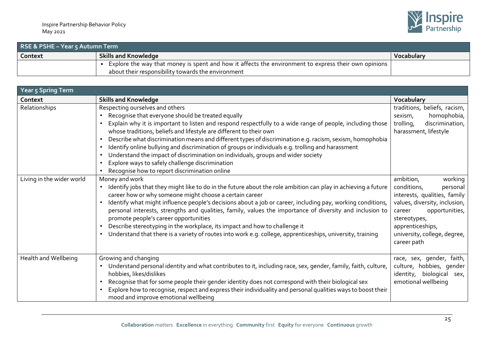

| RSE & PSHE - Year 5 Autumn Term |                                                                                                      |            |  |
|---------------------------------|------------------------------------------------------------------------------------------------------|------------|--|
| Context                         | <b>Skills and Knowledge</b>                                                                          | Vocabulary |  |
|                                 | Explore the way that money is spent and how it affects the environment to express their own opinions |            |  |
|                                 | about their responsibility towards the environment                                                   |            |  |

| Year 5 Spring Term        |                                                                                                                                                                                                                                                                                                                                                                                                                                                                                                                                                                                                                                                                                  |                                                                                                                                                                                                                                 |  |
|---------------------------|----------------------------------------------------------------------------------------------------------------------------------------------------------------------------------------------------------------------------------------------------------------------------------------------------------------------------------------------------------------------------------------------------------------------------------------------------------------------------------------------------------------------------------------------------------------------------------------------------------------------------------------------------------------------------------|---------------------------------------------------------------------------------------------------------------------------------------------------------------------------------------------------------------------------------|--|
| Context                   | <b>Skills and Knowledge</b>                                                                                                                                                                                                                                                                                                                                                                                                                                                                                                                                                                                                                                                      | Vocabulary                                                                                                                                                                                                                      |  |
| Relationships             | Respecting ourselves and others<br>Recognise that everyone should be treated equally<br>Explain why it is important to listen and respond respectfully to a wide range of people, including those<br>whose traditions, beliefs and lifestyle are different to their own<br>Describe what discrimination means and different types of discrimination e.g. racism, sexism, homophobia<br>Identify online bullying and discrimination of groups or individuals e.g. trolling and harassment<br>Understand the impact of discrimination on individuals, groups and wider society<br>Explore ways to safely challenge discrimination<br>Recognise how to report discrimination online | traditions, beliefs, racism,<br>homophobia,<br>sexism,<br>trolling,<br>discrimination,<br>harassment, lifestyle                                                                                                                 |  |
| Living in the wider world | Money and work<br>Identify jobs that they might like to do in the future about the role ambition can play in achieving a future<br>career how or why someone might choose a certain career<br>Identify what might influence people's decisions about a job or career, including pay, working conditions,<br>personal interests, strengths and qualities, family, values the importance of diversity and inclusion to<br>promote people's career opportunities<br>Describe stereotyping in the workplace, its impact and how to challenge it<br>Understand that there is a variety of routes into work e.g. college, apprenticeships, university, training                        | working<br>ambition,<br>conditions,<br>personal<br>interests, qualities, family<br>values, diversity, inclusion,<br>opportunities,<br>career<br>stereotypes,<br>apprenticeships,<br>university, college, degree,<br>career path |  |
| Health and Wellbeing      | Growing and changing<br>Understand personal identity and what contributes to it, including race, sex, gender, family, faith, culture,<br>hobbies, likes/dislikes<br>Recognise that for some people their gender identity does not correspond with their biological sex<br>Explore how to recognise, respect and express their individuality and personal qualities ways to boost their<br>mood and improve emotional wellbeing                                                                                                                                                                                                                                                   | race, sex, gender, faith,<br>culture, hobbies, gender<br>identity, biological sex,<br>emotional wellbeing                                                                                                                       |  |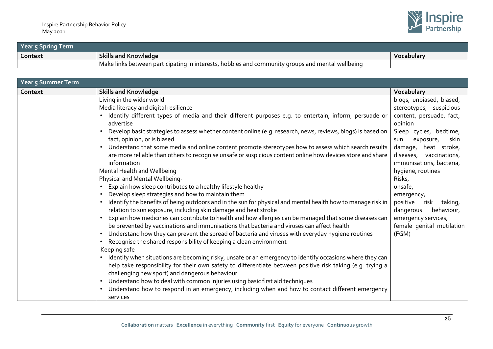| Year 5 Spring Term |                                                                                                  |            |
|--------------------|--------------------------------------------------------------------------------------------------|------------|
| Context            | <b>Skills and Knowledge</b>                                                                      | Vocabulary |
|                    | Make links between participating in interests, hobbies and community groups and mental wellbeing |            |

| Year 5 Summer Term |                                                                                                                                                                                                                                                                            |                                                     |  |
|--------------------|----------------------------------------------------------------------------------------------------------------------------------------------------------------------------------------------------------------------------------------------------------------------------|-----------------------------------------------------|--|
| Context            | <b>Skills and Knowledge</b>                                                                                                                                                                                                                                                | Vocabulary                                          |  |
|                    | Living in the wider world                                                                                                                                                                                                                                                  | blogs, unbiased, biased,                            |  |
|                    | Media literacy and digital resilience                                                                                                                                                                                                                                      | stereotypes, suspicious                             |  |
|                    | · Identify different types of media and their different purposes e.g. to entertain, inform, persuade or<br>advertise                                                                                                                                                       | content, persuade, fact,<br>opinion                 |  |
|                    | • Develop basic strategies to assess whether content online (e.g. research, news, reviews, blogs) is based on<br>fact, opinion, or is biased                                                                                                                               | Sleep cycles, bedtime,<br>skin<br>exposure,<br>sun  |  |
|                    | Understand that some media and online content promote stereotypes how to assess which search results                                                                                                                                                                       | heat stroke,<br>damage,                             |  |
|                    | are more reliable than others to recognise unsafe or suspicious content online how devices store and share<br>information                                                                                                                                                  | diseases, vaccinations,<br>immunisations, bacteria, |  |
|                    | Mental Health and Wellbeing                                                                                                                                                                                                                                                | hygiene, routines                                   |  |
|                    | Physical and Mental Wellbeing.                                                                                                                                                                                                                                             | Risks,                                              |  |
|                    | Explain how sleep contributes to a healthy lifestyle healthy                                                                                                                                                                                                               | unsafe,                                             |  |
|                    | Develop sleep strategies and how to maintain them                                                                                                                                                                                                                          | emergency,                                          |  |
|                    | Identify the benefits of being outdoors and in the sun for physical and mental health how to manage risk in                                                                                                                                                                | positive<br>risk<br>taking,                         |  |
|                    | relation to sun exposure, including skin damage and heat stroke                                                                                                                                                                                                            | dangerous<br>behaviour,                             |  |
|                    | • Explain how medicines can contribute to health and how allergies can be managed that some diseases can<br>be prevented by vaccinations and immunisations that bacteria and viruses can affect health                                                                     | emergency services,                                 |  |
|                    | Understand how they can prevent the spread of bacteria and viruses with everyday hygiene routines                                                                                                                                                                          | female genital mutilation<br>(FGM)                  |  |
|                    | Recognise the shared responsibility of keeping a clean environment                                                                                                                                                                                                         |                                                     |  |
|                    | Keeping safe                                                                                                                                                                                                                                                               |                                                     |  |
|                    | • Identify when situations are becoming risky, unsafe or an emergency to identify occasions where they can<br>help take responsibility for their own safety to differentiate between positive risk taking (e.g. trying a<br>challenging new sport) and dangerous behaviour |                                                     |  |
|                    | • Understand how to deal with common injuries using basic first aid techniques                                                                                                                                                                                             |                                                     |  |
|                    | • Understand how to respond in an emergency, including when and how to contact different emergency<br>services                                                                                                                                                             |                                                     |  |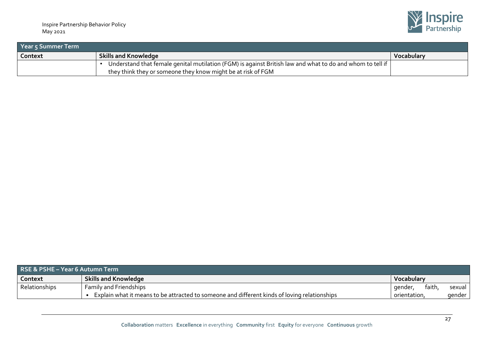

| <b>Prear 5 Summer Term</b> |                                                                                                           |                   |  |
|----------------------------|-----------------------------------------------------------------------------------------------------------|-------------------|--|
| Context                    | <b>Skills and Knowledge</b>                                                                               | <b>Vocabulary</b> |  |
|                            | Understand that female genital mutilation (FGM) is against British law and what to do and whom to tell if |                   |  |
|                            | they think they or someone they know might be at risk of FGM                                              |                   |  |

| RSE & PSHE – Year 6 Autumn Term |                                                                                              |              |       |          |
|---------------------------------|----------------------------------------------------------------------------------------------|--------------|-------|----------|
| Context                         | <b>Skills and Knowledge</b>                                                                  | Vocabulary   |       |          |
| Relationships                   | <b>Family and Friendships</b>                                                                | -dender.     | faith | sexual   |
|                                 | Explain what it means to be attracted to someone and different kinds of loving relationships | orientation. |       | gender I |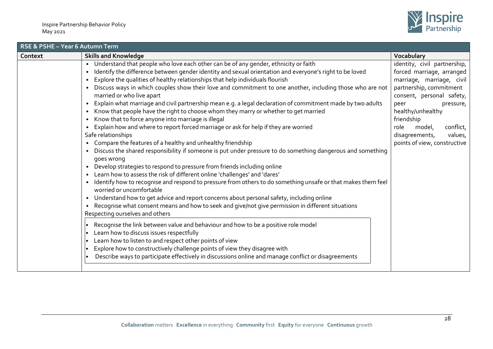

| RSE & PSHE - Year 6 Autumn Term |                                                                                                                                                                                                                                                                                                                                                                                                                                                                                                                                                                                                                                                                                                                                                                                                                                                                                                                                                                                                                                                                                                                                                                                                                                                                                                                                                                                                                                                                                                                                                                                                                                                                                                                                                                                                                                                                                                                                                                                                                                                                               |                                                                                                                                                                                                                                                                                                    |  |  |
|---------------------------------|-------------------------------------------------------------------------------------------------------------------------------------------------------------------------------------------------------------------------------------------------------------------------------------------------------------------------------------------------------------------------------------------------------------------------------------------------------------------------------------------------------------------------------------------------------------------------------------------------------------------------------------------------------------------------------------------------------------------------------------------------------------------------------------------------------------------------------------------------------------------------------------------------------------------------------------------------------------------------------------------------------------------------------------------------------------------------------------------------------------------------------------------------------------------------------------------------------------------------------------------------------------------------------------------------------------------------------------------------------------------------------------------------------------------------------------------------------------------------------------------------------------------------------------------------------------------------------------------------------------------------------------------------------------------------------------------------------------------------------------------------------------------------------------------------------------------------------------------------------------------------------------------------------------------------------------------------------------------------------------------------------------------------------------------------------------------------------|----------------------------------------------------------------------------------------------------------------------------------------------------------------------------------------------------------------------------------------------------------------------------------------------------|--|--|
| Context                         | <b>Skills and Knowledge</b>                                                                                                                                                                                                                                                                                                                                                                                                                                                                                                                                                                                                                                                                                                                                                                                                                                                                                                                                                                                                                                                                                                                                                                                                                                                                                                                                                                                                                                                                                                                                                                                                                                                                                                                                                                                                                                                                                                                                                                                                                                                   | Vocabulary                                                                                                                                                                                                                                                                                         |  |  |
|                                 | Understand that people who love each other can be of any gender, ethnicity or faith<br>Identify the difference between gender identity and sexual orientation and everyone's right to be loved<br>$\bullet$<br>Explore the qualities of healthy relationships that help individuals flourish<br>Discuss ways in which couples show their love and commitment to one another, including those who are not<br>$\bullet$<br>married or who live apart<br>Explain what marriage and civil partnership mean e.g. a legal declaration of commitment made by two adults<br>Know that people have the right to choose whom they marry or whether to get married<br>$\bullet$<br>Know that to force anyone into marriage is illegal<br>$\bullet$<br>Explain how and where to report forced marriage or ask for help if they are worried<br>$\bullet$<br>Safe relationships<br>Compare the features of a healthy and unhealthy friendship<br>$\bullet$<br>Discuss the shared responsibility if someone is put under pressure to do something dangerous and something<br>goes wrong<br>Develop strategies to respond to pressure from friends including online<br>$\bullet$<br>Learn how to assess the risk of different online 'challenges' and 'dares'<br>Identify how to recognise and respond to pressure from others to do something unsafe or that makes them feel<br>$\bullet$<br>worried or uncomfortable<br>Understand how to get advice and report concerns about personal safety, including online<br>$\bullet$<br>Recognise what consent means and how to seek and give/not give permission in different situations<br>$\bullet$<br>Respecting ourselves and others<br>Recognise the link between value and behaviour and how to be a positive role model<br>lo<br>Learn how to discuss issues respectfully<br>Learn how to listen to and respect other points of view<br>I۰<br>Explore how to constructively challenge points of view they disagree with<br>lo<br>Describe ways to participate effectively in discussions online and manage conflict or disagreements<br>I۰ | identity, civil partnership,<br>forced marriage, arranged<br>marriage, marriage, civil<br>partnership, commitment<br>consent, personal safety,<br>peer<br>pressure,<br>healthy/unhealthy<br>friendship<br>conflict,<br>model,<br>role<br>values,<br>disagreements,<br>points of view, constructive |  |  |
|                                 |                                                                                                                                                                                                                                                                                                                                                                                                                                                                                                                                                                                                                                                                                                                                                                                                                                                                                                                                                                                                                                                                                                                                                                                                                                                                                                                                                                                                                                                                                                                                                                                                                                                                                                                                                                                                                                                                                                                                                                                                                                                                               |                                                                                                                                                                                                                                                                                                    |  |  |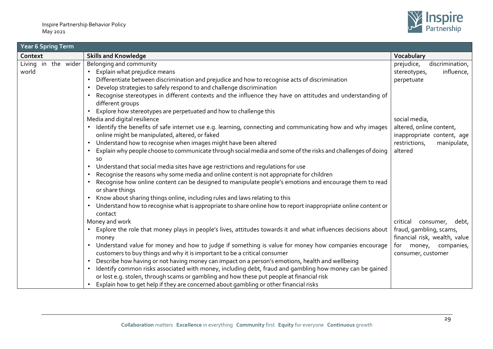

| Year 6 Spring Term           |                                                                                                                                                                                                      |                                                             |  |
|------------------------------|------------------------------------------------------------------------------------------------------------------------------------------------------------------------------------------------------|-------------------------------------------------------------|--|
| Context                      | <b>Skills and Knowledge</b>                                                                                                                                                                          | Vocabulary                                                  |  |
| Living in the wider<br>world | Belonging and community<br>Explain what prejudice means                                                                                                                                              | prejudice,<br>discrimination,<br>influence,<br>stereotypes, |  |
|                              | Differentiate between discrimination and prejudice and how to recognise acts of discrimination<br>Develop strategies to safely respond to and challenge discrimination                               | perpetuate                                                  |  |
|                              | Recognise stereotypes in different contexts and the influence they have on attitudes and understanding of<br>different groups                                                                        |                                                             |  |
|                              | Explore how stereotypes are perpetuated and how to challenge this                                                                                                                                    |                                                             |  |
|                              | Media and digital resilience                                                                                                                                                                         | social media,                                               |  |
|                              | Identify the benefits of safe internet use e.g. learning, connecting and communicating how and why images<br>online might be manipulated, altered, or faked                                          | altered, online content,<br>inappropriate content, age      |  |
|                              | Understand how to recognise when images might have been altered<br>$\bullet$                                                                                                                         | restrictions,<br>manipulate,                                |  |
|                              | Explain why people choose to communicate through social media and some of the risks and challenges of doing<br><b>SO</b>                                                                             | altered                                                     |  |
|                              | Understand that social media sites have age restrictions and regulations for use<br>$\bullet$                                                                                                        |                                                             |  |
|                              | Recognise the reasons why some media and online content is not appropriate for children                                                                                                              |                                                             |  |
|                              | Recognise how online content can be designed to manipulate people's emotions and encourage them to read<br>or share things                                                                           |                                                             |  |
|                              | Know about sharing things online, including rules and laws relating to this<br>$\bullet$                                                                                                             |                                                             |  |
|                              | Understand how to recognise what is appropriate to share online how to report inappropriate online content or<br>contact                                                                             |                                                             |  |
|                              | Money and work                                                                                                                                                                                       | critical<br>consumer,<br>debt,                              |  |
|                              | Explore the role that money plays in people's lives, attitudes towards it and what influences decisions about<br>money                                                                               | fraud, gambling, scams,<br>financial risk, wealth, value    |  |
|                              | Understand value for money and how to judge if something is value for money how companies encourage<br>$\bullet$<br>customers to buy things and why it is important to be a critical consumer        | for money, companies,<br>consumer, customer                 |  |
|                              | Describe how having or not having money can impact on a person's emotions, health and wellbeing<br>$\bullet$                                                                                         |                                                             |  |
|                              | Identify common risks associated with money, including debt, fraud and gambling how money can be gained<br>or lost e.g. stolen, through scams or gambling and how these put people at financial risk |                                                             |  |
|                              | Explain how to get help if they are concerned about gambling or other financial risks                                                                                                                |                                                             |  |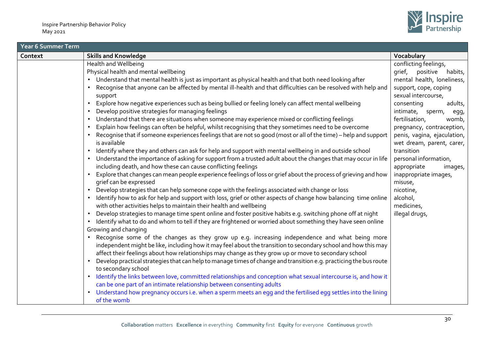

| Year 6 Summer Term |                                                                                                                                                                                                                            |                                                   |  |  |
|--------------------|----------------------------------------------------------------------------------------------------------------------------------------------------------------------------------------------------------------------------|---------------------------------------------------|--|--|
| Context            | <b>Skills and Knowledge</b>                                                                                                                                                                                                | Vocabulary                                        |  |  |
|                    | Health and Wellbeing                                                                                                                                                                                                       | conflicting feelings,                             |  |  |
|                    | Physical health and mental wellbeing                                                                                                                                                                                       | grief, positive<br>habits,                        |  |  |
|                    | • Understand that mental health is just as important as physical health and that both need looking after                                                                                                                   | mental health, loneliness,                        |  |  |
|                    | Recognise that anyone can be affected by mental ill-health and that difficulties can be resolved with help and<br>support                                                                                                  | support, cope, coping<br>sexual intercourse,      |  |  |
|                    | Explore how negative experiences such as being bullied or feeling lonely can affect mental wellbeing<br>Develop positive strategies for managing feelings                                                                  | consenting<br>adults,<br>intimate, sperm,<br>egg, |  |  |
|                    | Understand that there are situations when someone may experience mixed or conflicting feelings                                                                                                                             | fertilisation,<br>womb,                           |  |  |
|                    | Explain how feelings can often be helpful, whilst recognising that they sometimes need to be overcome                                                                                                                      | pregnancy, contraception,                         |  |  |
|                    | Recognise that if someone experiences feelings that are not so good (most or all of the time) – help and support                                                                                                           | penis, vagina, ejaculation,                       |  |  |
|                    | is available                                                                                                                                                                                                               | wet dream, parent, carer,<br>transition           |  |  |
|                    | Identify where they and others can ask for help and support with mental wellbeing in and outside school<br>• Understand the importance of asking for support from a trusted adult about the changes that may occur in life | personal information,                             |  |  |
|                    | including death, and how these can cause conflicting feelings                                                                                                                                                              | appropriate<br>images,                            |  |  |
|                    | Explore that changes can mean people experience feelings of loss or grief about the process of grieving and how<br>grief can be expressed                                                                                  | inappropriate images,<br>misuse,                  |  |  |
|                    | Develop strategies that can help someone cope with the feelings associated with change or loss                                                                                                                             | nicotine,                                         |  |  |
|                    | Identify how to ask for help and support with loss, grief or other aspects of change how balancing time online<br>with other activities helps to maintain their health and wellbeing                                       | alcohol,<br>medicines,                            |  |  |
|                    | Develop strategies to manage time spent online and foster positive habits e.g. switching phone off at night                                                                                                                | illegal drugs,                                    |  |  |
|                    | Identify what to do and whom to tell if they are frightened or worried about something they have seen online                                                                                                               |                                                   |  |  |
|                    | Growing and changing                                                                                                                                                                                                       |                                                   |  |  |
|                    | • Recognise some of the changes as they grow up e.g. increasing independence and what being more<br>independent might be like, including how it may feel about the transition to secondary school and how this may         |                                                   |  |  |
|                    | affect their feelings about how relationships may change as they grow up or move to secondary school                                                                                                                       |                                                   |  |  |
|                    | Develop practical strategies that can help to manage times of change and transition e.g. practicing the bus route<br>to secondary school                                                                                   |                                                   |  |  |
|                    | Identify the links between love, committed relationships and conception what sexual intercourse is, and how it<br>$\bullet$                                                                                                |                                                   |  |  |
|                    | can be one part of an intimate relationship between consenting adults                                                                                                                                                      |                                                   |  |  |
|                    | Understand how pregnancy occurs i.e. when a sperm meets an egg and the fertilised egg settles into the lining<br>of the womb                                                                                               |                                                   |  |  |